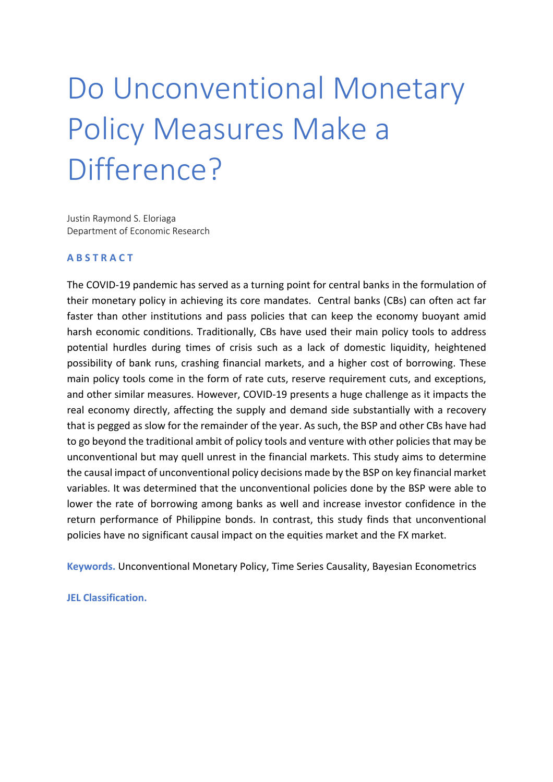# Do Unconventional Monetary Policy Measures Make a Difference?

Justin Raymond S. Eloriaga Department of Economic Research

#### **A B S T R A C T**

The COVID-19 pandemic has served as a turning point for central banks in the formulation of their monetary policy in achieving its core mandates. Central banks (CBs) can often act far faster than other institutions and pass policies that can keep the economy buoyant amid harsh economic conditions. Traditionally, CBs have used their main policy tools to address potential hurdles during times of crisis such as a lack of domestic liquidity, heightened possibility of bank runs, crashing financial markets, and a higher cost of borrowing. These main policy tools come in the form of rate cuts, reserve requirement cuts, and exceptions, and other similar measures. However, COVID-19 presents a huge challenge as it impacts the real economy directly, affecting the supply and demand side substantially with a recovery that is pegged as slow for the remainder of the year. As such, the BSP and other CBs have had to go beyond the traditional ambit of policy tools and venture with other policies that may be unconventional but may quell unrest in the financial markets. This study aims to determine the causal impact of unconventional policy decisions made by the BSP on key financial market variables. It was determined that the unconventional policies done by the BSP were able to lower the rate of borrowing among banks as well and increase investor confidence in the return performance of Philippine bonds. In contrast, this study finds that unconventional policies have no significant causal impact on the equities market and the FX market.

**Keywords.** Unconventional Monetary Policy, Time Series Causality, Bayesian Econometrics

**JEL Classification.**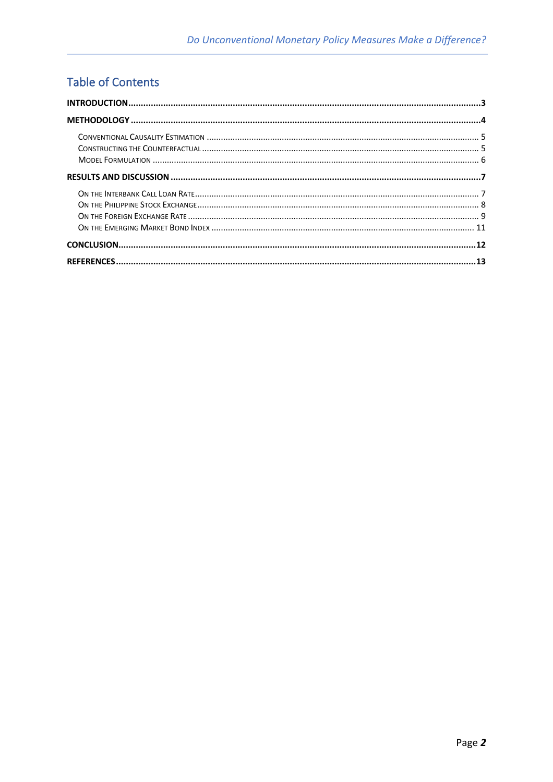# **Table of Contents**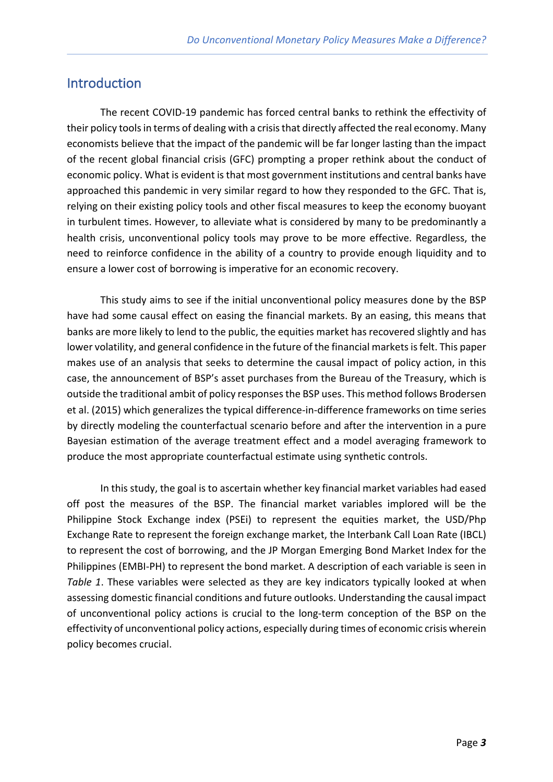## Introduction

The recent COVID-19 pandemic has forced central banks to rethink the effectivity of their policy tools in terms of dealing with a crisis that directly affected the real economy. Many economists believe that the impact of the pandemic will be far longer lasting than the impact of the recent global financial crisis (GFC) prompting a proper rethink about the conduct of economic policy. What is evident is that most government institutions and central banks have approached this pandemic in very similar regard to how they responded to the GFC. That is, relying on their existing policy tools and other fiscal measures to keep the economy buoyant in turbulent times. However, to alleviate what is considered by many to be predominantly a health crisis, unconventional policy tools may prove to be more effective. Regardless, the need to reinforce confidence in the ability of a country to provide enough liquidity and to ensure a lower cost of borrowing is imperative for an economic recovery.

This study aims to see if the initial unconventional policy measures done by the BSP have had some causal effect on easing the financial markets. By an easing, this means that banks are more likely to lend to the public, the equities market has recovered slightly and has lower volatility, and general confidence in the future of the financial markets is felt. This paper makes use of an analysis that seeks to determine the causal impact of policy action, in this case, the announcement of BSP's asset purchases from the Bureau of the Treasury, which is outside the traditional ambit of policy responses the BSP uses. This method follows Brodersen et al. (2015) which generalizes the typical difference-in-difference frameworks on time series by directly modeling the counterfactual scenario before and after the intervention in a pure Bayesian estimation of the average treatment effect and a model averaging framework to produce the most appropriate counterfactual estimate using synthetic controls.

In this study, the goal is to ascertain whether key financial market variables had eased off post the measures of the BSP. The financial market variables implored will be the Philippine Stock Exchange index (PSEi) to represent the equities market, the USD/Php Exchange Rate to represent the foreign exchange market, the Interbank Call Loan Rate (IBCL) to represent the cost of borrowing, and the JP Morgan Emerging Bond Market Index for the Philippines (EMBI-PH) to represent the bond market. A description of each variable is seen in *Table 1*. These variables were selected as they are key indicators typically looked at when assessing domestic financial conditions and future outlooks. Understanding the causal impact of unconventional policy actions is crucial to the long-term conception of the BSP on the effectivity of unconventional policy actions, especially during times of economic crisis wherein policy becomes crucial.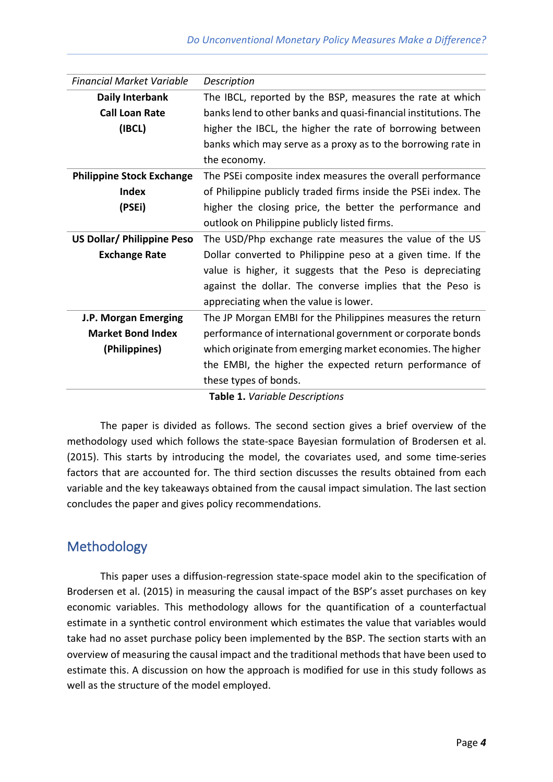| <b>Financial Market Variable</b>  | Description                                                     |
|-----------------------------------|-----------------------------------------------------------------|
|                                   |                                                                 |
| <b>Daily Interbank</b>            | The IBCL, reported by the BSP, measures the rate at which       |
| <b>Call Loan Rate</b>             | banks lend to other banks and quasi-financial institutions. The |
| (IBCL)                            | higher the IBCL, the higher the rate of borrowing between       |
|                                   | banks which may serve as a proxy as to the borrowing rate in    |
|                                   | the economy.                                                    |
| <b>Philippine Stock Exchange</b>  | The PSE icomposite index measures the overall performance       |
| <b>Index</b>                      | of Philippine publicly traded firms inside the PSEi index. The  |
| (PSEi)                            | higher the closing price, the better the performance and        |
|                                   | outlook on Philippine publicly listed firms.                    |
| <b>US Dollar/ Philippine Peso</b> | The USD/Php exchange rate measures the value of the US          |
| <b>Exchange Rate</b>              | Dollar converted to Philippine peso at a given time. If the     |
|                                   | value is higher, it suggests that the Peso is depreciating      |
|                                   | against the dollar. The converse implies that the Peso is       |
|                                   | appreciating when the value is lower.                           |
| J.P. Morgan Emerging              | The JP Morgan EMBI for the Philippines measures the return      |
| <b>Market Bond Index</b>          | performance of international government or corporate bonds      |
| (Philippines)                     | which originate from emerging market economies. The higher      |
|                                   | the EMBI, the higher the expected return performance of         |
|                                   | these types of bonds.                                           |
| Table 1. Variable Descriptions    |                                                                 |

The paper is divided as follows. The second section gives a brief overview of the methodology used which follows the state-space Bayesian formulation of Brodersen et al. (2015). This starts by introducing the model, the covariates used, and some time-series factors that are accounted for. The third section discusses the results obtained from each variable and the key takeaways obtained from the causal impact simulation. The last section concludes the paper and gives policy recommendations.

# Methodology

This paper uses a diffusion-regression state-space model akin to the specification of Brodersen et al. (2015) in measuring the causal impact of the BSP's asset purchases on key economic variables. This methodology allows for the quantification of a counterfactual estimate in a synthetic control environment which estimates the value that variables would take had no asset purchase policy been implemented by the BSP. The section starts with an overview of measuring the causal impact and the traditional methods that have been used to estimate this. A discussion on how the approach is modified for use in this study follows as well as the structure of the model employed.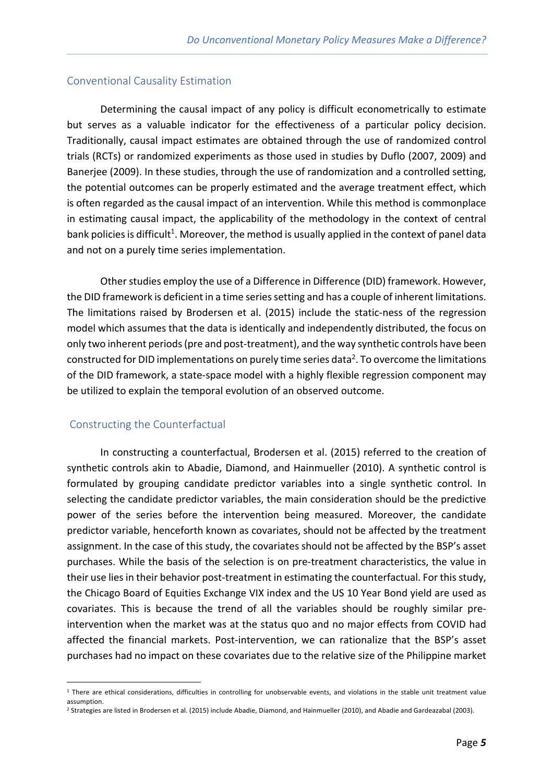#### Conventional Causality Estimation

Determining the causal impact of any policy is difficult econometrically to estimate but serves as a valuable indicator for the effectiveness of a particular policy decision. Traditionally, causal impact estimates are obtained through the use of randomized control trials (RCTs) or randomized experiments as those used in studies by Duflo (2007, 2009) and Banerjee (2009). In these studies, through the use of randomization and a controlled setting, the potential outcomes can be properly estimated and the average treatment effect, which is often regarded as the causal impact of an intervention. While this method is commonplace in estimating causal impact, the applicability of the methodology in the context of central bank policies is difficult<sup>1</sup>. Moreover, the method is usually applied in the context of panel data and not on a purely time series implementation.

Other studies employ the use of a Difference in Difference (DID) framework. However, the DID framework is deficient in a time series setting and has a couple of inherent limitations. The limitations raised by Brodersen et al. (2015) include the static-ness of the regression model which assumes that the data is identically and independently distributed, the focus on only two inherent periods (pre and post-treatment), and the way synthetic controls have been constructed for DID implementations on purely time series data<sup>2</sup>. To overcome the limitations of the DID framework, a state-space model with a highly flexible regression component may be utilized to explain the temporal evolution of an observed outcome.

#### Constructing the Counterfactual

In constructing a counterfactual, Brodersen et al. (2015) referred to the creation of synthetic controls akin to Abadie, Diamond, and Hainmueller (2010). A synthetic control is formulated by grouping candidate predictor variables into a single synthetic control. In selecting the candidate predictor variables, the main consideration should be the predictive power of the series before the intervention being measured. Moreover, the candidate predictor variable, henceforth known as covariates, should not be affected by the treatment assignment. In the case of this study, the covariates should not be affected by the BSP's asset purchases. While the basis of the selection is on pre-treatment characteristics, the value in their use lies in their behavior post-treatment in estimating the counterfactual. For this study, the Chicago Board of Equities Exchange VIX index and the US 10 Year Bond yield are used as covariates. This is because the trend of all the variables should be roughly similar preintervention when the market was at the status quo and no major effects from COVID had affected the financial markets. Post-intervention, we can rationalize that the BSP's asset purchases had no impact on these covariates due to the relative size of the Philippine market

<sup>&</sup>lt;sup>1</sup> There are ethical considerations, difficulties in controlling for unobservable events, and violations in the stable unit treatment value assumption.

<sup>2</sup> Strategies are listed in Brodersen et al. (2015) include Abadie, Diamond, and Hainmueller (2010), and Abadie and Gardeazabal (2003).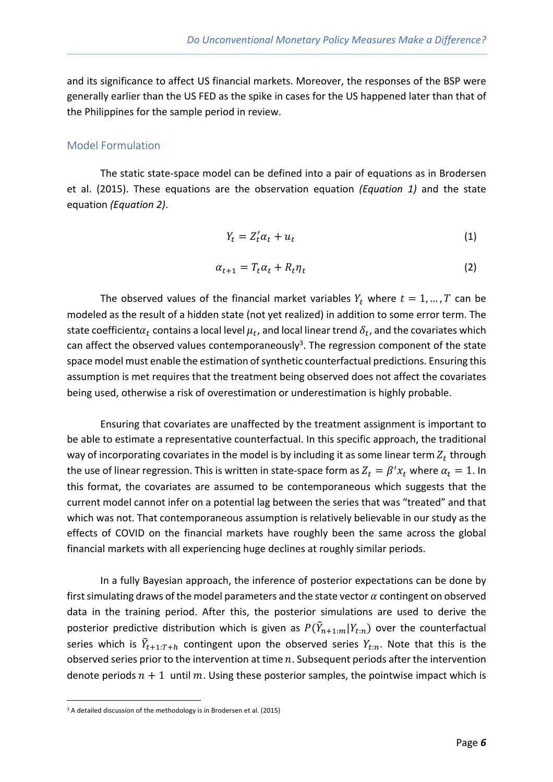and its significance to affect US financial markets. Moreover, the responses of the BSP were generally earlier than the US FED as the spike in cases for the US happened later than that of the Philippines for the sample period in review.

### Model Formulation

The static state-space model can be defined into a pair of equations as in Brodersen et al. (2015). These equations are the observation equation *(Equation 1)* and the state equation *(Equation 2)*.

$$
Y_t = Z_t' \alpha_t + u_t \tag{1}
$$

$$
\alpha_{t+1} = T_t \alpha_t + R_t \eta_t \tag{2}
$$

The observed values of the financial market variables  $Y_t$  where  $t = 1, ..., T$  can be modeled as the result of a hidden state (not yet realized) in addition to some error term. The state coefficient $\alpha_t$  contains a local level  $\mu_t$ , and local linear trend  $\delta_t$ , and the covariates which can affect the observed values contemporaneously<sup>3</sup>. The regression component of the state space model must enable the estimation of synthetic counterfactual predictions. Ensuring this assumption is met requires that the treatment being observed does not affect the covariates being used, otherwise a risk of overestimation or underestimation is highly probable.

Ensuring that covariates are unaffected by the treatment assignment is important to be able to estimate a representative counterfactual. In this specific approach, the traditional way of incorporating covariates in the model is by including it as some linear term  $Z_t$  through the use of linear regression. This is written in state-space form as  $Z_t = \beta' x_t$  where  $\alpha_t = 1$ . In this format, the covariates are assumed to be contemporaneous which suggests that the current model cannot infer on a potential lag between the series that was "treated" and that which was not. That contemporaneous assumption is relatively believable in our study as the effects of COVID on the financial markets have roughly been the same across the global financial markets with all experiencing huge declines at roughly similar periods.

In a fully Bayesian approach, the inference of posterior expectations can be done by first simulating draws of the model parameters and the state vector  $\alpha$  contingent on observed data in the training period. After this, the posterior simulations are used to derive the posterior predictive distribution which is given as  $P(\tilde{Y}_{n+1:m}|Y_{t:n})$  over the counterfactual series which is  $\tilde{Y}_{t+1:T+h}$  contingent upon the observed series  $Y_{t:n}$ . Note that this is the observed series prior to the intervention at time  $n$ . Subsequent periods after the intervention denote periods  $n + 1$  until m. Using these posterior samples, the pointwise impact which is

<sup>&</sup>lt;sup>3</sup> A detailed discussion of the methodology is in Brodersen et al. (2015)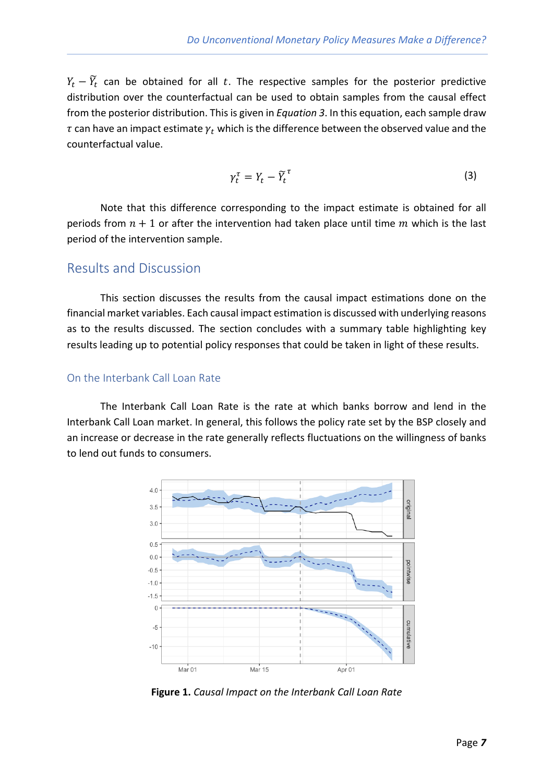$Y_t - \widetilde{Y}_t$  can be obtained for all t. The respective samples for the posterior predictive distribution over the counterfactual can be used to obtain samples from the causal effect from the posterior distribution. This is given in *Equation 3*. In this equation, each sample draw  $\tau$  can have an impact estimate  $\gamma_t$  which is the difference between the observed value and the counterfactual value.

$$
\gamma_t^{\tau} = Y_t - \widetilde{Y}_t^{\tau} \tag{3}
$$

Note that this difference corresponding to the impact estimate is obtained for all periods from  $n + 1$  or after the intervention had taken place until time m which is the last period of the intervention sample.

## Results and Discussion

This section discusses the results from the causal impact estimations done on the financial market variables. Each causal impact estimation is discussed with underlying reasons as to the results discussed. The section concludes with a summary table highlighting key results leading up to potential policy responses that could be taken in light of these results.

## On the Interbank Call Loan Rate

The Interbank Call Loan Rate is the rate at which banks borrow and lend in the Interbank Call Loan market. In general, this follows the policy rate set by the BSP closely and an increase or decrease in the rate generally reflects fluctuations on the willingness of banks to lend out funds to consumers.



**Figure 1.** *Causal Impact on the Interbank Call Loan Rate*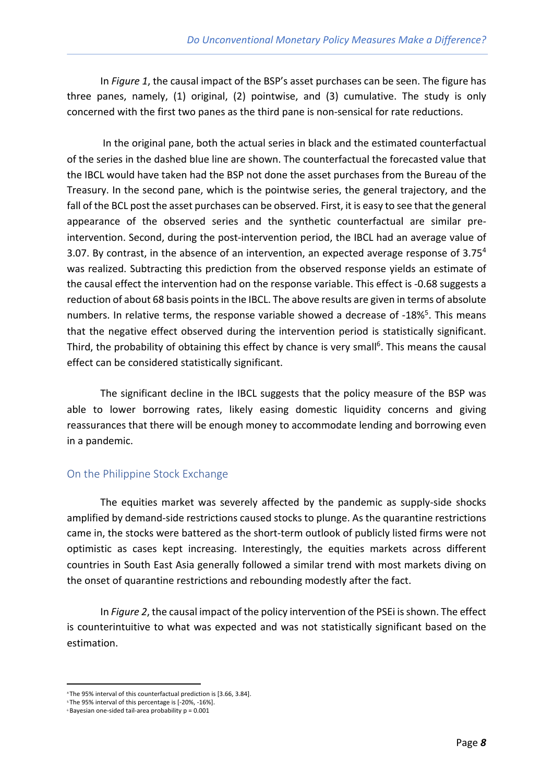In *Figure 1*, the causal impact of the BSP's asset purchases can be seen. The figure has three panes, namely, (1) original, (2) pointwise, and (3) cumulative. The study is only concerned with the first two panes as the third pane is non-sensical for rate reductions.

In the original pane, both the actual series in black and the estimated counterfactual of the series in the dashed blue line are shown. The counterfactual the forecasted value that the IBCL would have taken had the BSP not done the asset purchases from the Bureau of the Treasury. In the second pane, which is the pointwise series, the general trajectory, and the fall of the BCL post the asset purchases can be observed. First, it is easy to see that the general appearance of the observed series and the synthetic counterfactual are similar preintervention. Second, during the post-intervention period, the IBCL had an average value of 3.07. By contrast, in the absence of an intervention, an expected average response of  $3.75<sup>4</sup>$ was realized. Subtracting this prediction from the observed response yields an estimate of the causal effect the intervention had on the response variable. This effect is -0.68 suggests a reduction of about 68 basis points in the IBCL. The above results are given in terms of absolute numbers. In relative terms, the response variable showed a decrease of -18%<sup>5</sup>. This means that the negative effect observed during the intervention period is statistically significant. Third, the probability of obtaining this effect by chance is very small<sup>6</sup>. This means the causal effect can be considered statistically significant.

The significant decline in the IBCL suggests that the policy measure of the BSP was able to lower borrowing rates, likely easing domestic liquidity concerns and giving reassurances that there will be enough money to accommodate lending and borrowing even in a pandemic.

## On the Philippine Stock Exchange

The equities market was severely affected by the pandemic as supply-side shocks amplified by demand-side restrictions caused stocks to plunge. As the quarantine restrictions came in, the stocks were battered as the short-term outlook of publicly listed firms were not optimistic as cases kept increasing. Interestingly, the equities markets across different countries in South East Asia generally followed a similar trend with most markets diving on the onset of quarantine restrictions and rebounding modestly after the fact.

In *Figure 2*, the causal impact of the policy intervention of the PSEi is shown. The effect is counterintuitive to what was expected and was not statistically significant based on the estimation.

<sup>4</sup> The 95% interval of this counterfactual prediction is [3.66, 3.84].

<sup>5</sup> The 95% interval of this percentage is [-20%, -16%].

<sup>6</sup> Bayesian one-sided tail-area probability p = 0.001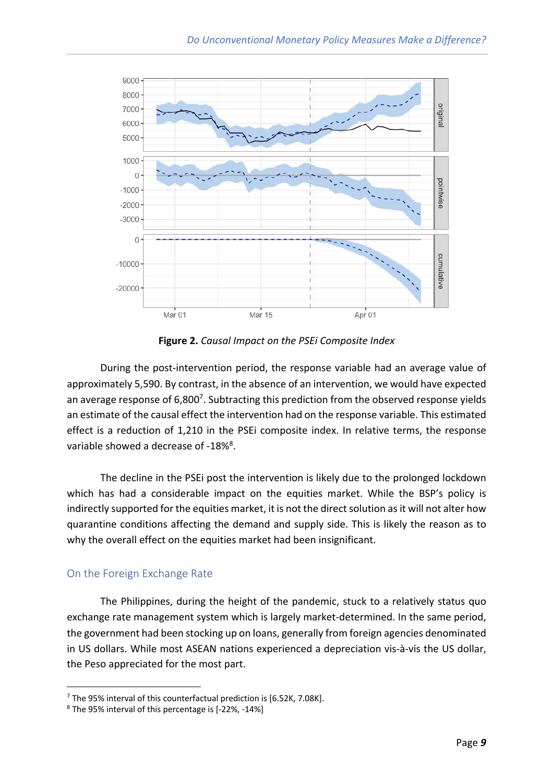

**Figure 2.** *Causal Impact on the PSEi Composite Index*

During the post-intervention period, the response variable had an average value of approximately 5,590. By contrast, in the absence of an intervention, we would have expected an average response of 6,800<sup>7</sup>. Subtracting this prediction from the observed response yields an estimate of the causal effect the intervention had on the response variable. This estimated effect is a reduction of 1,210 in the PSEi composite index. In relative terms, the response variable showed a decrease of -18%<sup>8</sup>.

The decline in the PSEi post the intervention is likely due to the prolonged lockdown which has had a considerable impact on the equities market. While the BSP's policy is indirectly supported for the equities market, it is not the direct solution as it will not alter how quarantine conditions affecting the demand and supply side. This is likely the reason as to why the overall effect on the equities market had been insignificant.

## On the Foreign Exchange Rate

The Philippines, during the height of the pandemic, stuck to a relatively status quo exchange rate management system which is largely market-determined. In the same period, the government had been stocking up on loans, generally from foreign agencies denominated in US dollars. While most ASEAN nations experienced a depreciation vis-à-vis the US dollar, the Peso appreciated for the most part.

<sup>7</sup> The 95% interval of this counterfactual prediction is [6.52K, 7.08K].

<sup>8</sup> The 95% interval of this percentage is [-22%, -14%]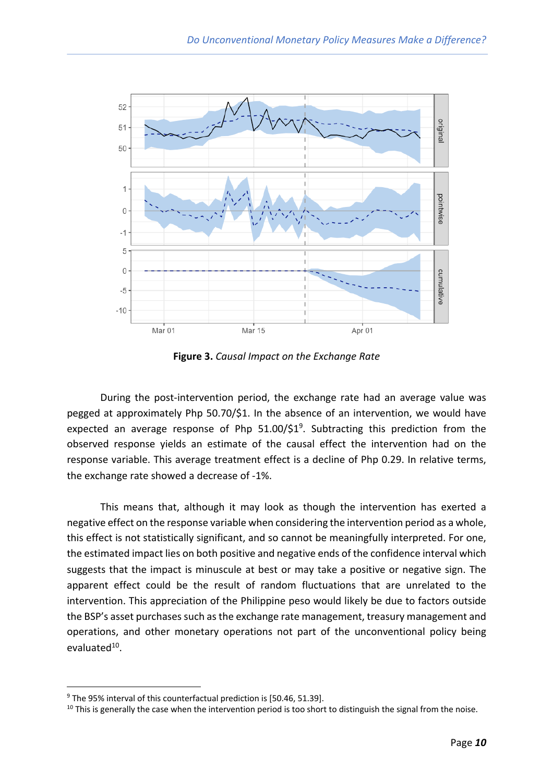

**Figure 3.** *Causal Impact on the Exchange Rate*

During the post-intervention period, the exchange rate had an average value was pegged at approximately Php 50.70/\$1. In the absence of an intervention, we would have expected an average response of Php 51.00/\$1<sup>9</sup>. Subtracting this prediction from the observed response yields an estimate of the causal effect the intervention had on the response variable. This average treatment effect is a decline of Php 0.29. In relative terms, the exchange rate showed a decrease of -1%.

This means that, although it may look as though the intervention has exerted a negative effect on the response variable when considering the intervention period as a whole, this effect is not statistically significant, and so cannot be meaningfully interpreted. For one, the estimated impact lies on both positive and negative ends of the confidence interval which suggests that the impact is minuscule at best or may take a positive or negative sign. The apparent effect could be the result of random fluctuations that are unrelated to the intervention. This appreciation of the Philippine peso would likely be due to factors outside the BSP's asset purchases such as the exchange rate management, treasury management and operations, and other monetary operations not part of the unconventional policy being evaluate $d^{10}$ .

<sup>&</sup>lt;sup>9</sup> The 95% interval of this counterfactual prediction is [50.46, 51.39].

 $10$  This is generally the case when the intervention period is too short to distinguish the signal from the noise.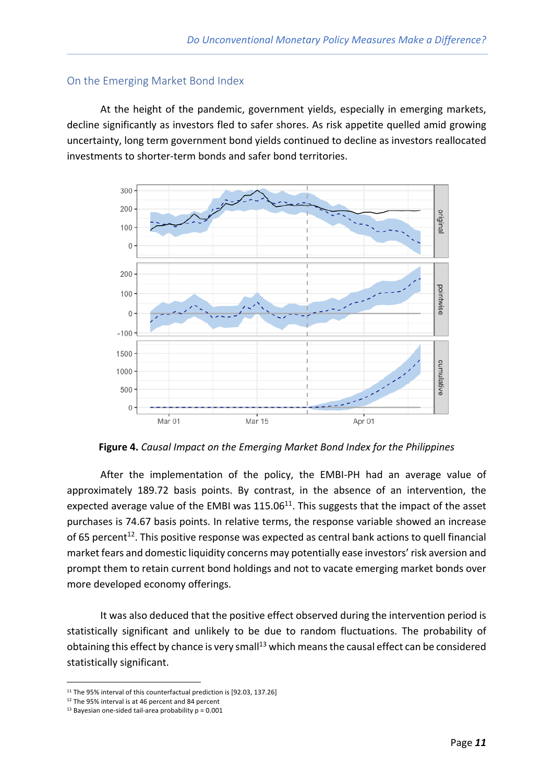### On the Emerging Market Bond Index

At the height of the pandemic, government yields, especially in emerging markets, decline significantly as investors fled to safer shores. As risk appetite quelled amid growing uncertainty, long term government bond yields continued to decline as investors reallocated investments to shorter-term bonds and safer bond territories.



**Figure 4.** *Causal Impact on the Emerging Market Bond Index for the Philippines*

After the implementation of the policy, the EMBI-PH had an average value of approximately 189.72 basis points. By contrast, in the absence of an intervention, the expected average value of the EMBI was 115.06<sup>11</sup>. This suggests that the impact of the asset purchases is 74.67 basis points. In relative terms, the response variable showed an increase of 65 percent<sup>12</sup>. This positive response was expected as central bank actions to quell financial market fears and domestic liquidity concerns may potentially ease investors' risk aversion and prompt them to retain current bond holdings and not to vacate emerging market bonds over more developed economy offerings.

It was also deduced that the positive effect observed during the intervention period is statistically significant and unlikely to be due to random fluctuations. The probability of obtaining this effect by chance is very small<sup>13</sup> which means the causal effect can be considered statistically significant.

<sup>&</sup>lt;sup>11</sup> The 95% interval of this counterfactual prediction is [92.03, 137.26]

<sup>&</sup>lt;sup>12</sup> The 95% interval is at 46 percent and 84 percent

 $13$  Bayesian one-sided tail-area probability  $p = 0.001$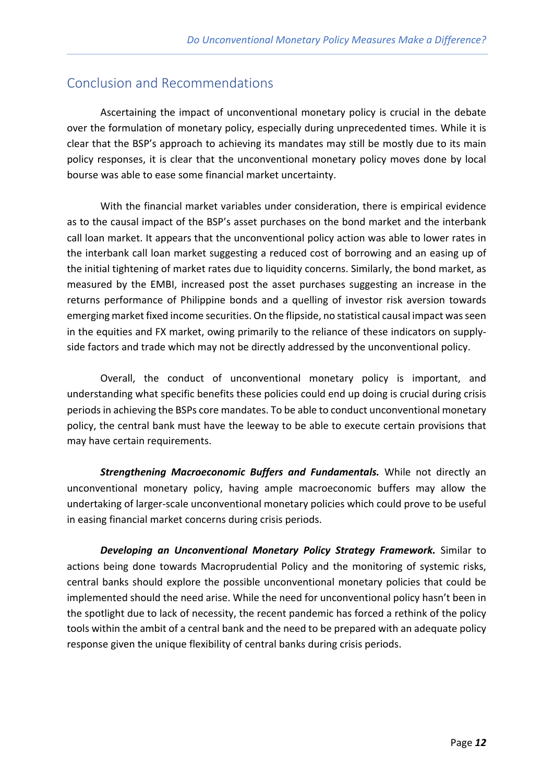## Conclusion and Recommendations

Ascertaining the impact of unconventional monetary policy is crucial in the debate over the formulation of monetary policy, especially during unprecedented times. While it is clear that the BSP's approach to achieving its mandates may still be mostly due to its main policy responses, it is clear that the unconventional monetary policy moves done by local bourse was able to ease some financial market uncertainty.

With the financial market variables under consideration, there is empirical evidence as to the causal impact of the BSP's asset purchases on the bond market and the interbank call loan market. It appears that the unconventional policy action was able to lower rates in the interbank call loan market suggesting a reduced cost of borrowing and an easing up of the initial tightening of market rates due to liquidity concerns. Similarly, the bond market, as measured by the EMBI, increased post the asset purchases suggesting an increase in the returns performance of Philippine bonds and a quelling of investor risk aversion towards emerging market fixed income securities. On the flipside, no statistical causal impact was seen in the equities and FX market, owing primarily to the reliance of these indicators on supplyside factors and trade which may not be directly addressed by the unconventional policy.

Overall, the conduct of unconventional monetary policy is important, and understanding what specific benefits these policies could end up doing is crucial during crisis periods in achieving the BSPs core mandates. To be able to conduct unconventional monetary policy, the central bank must have the leeway to be able to execute certain provisions that may have certain requirements.

*Strengthening Macroeconomic Buffers and Fundamentals.* While not directly an unconventional monetary policy, having ample macroeconomic buffers may allow the undertaking of larger-scale unconventional monetary policies which could prove to be useful in easing financial market concerns during crisis periods.

*Developing an Unconventional Monetary Policy Strategy Framework.* Similar to actions being done towards Macroprudential Policy and the monitoring of systemic risks, central banks should explore the possible unconventional monetary policies that could be implemented should the need arise. While the need for unconventional policy hasn't been in the spotlight due to lack of necessity, the recent pandemic has forced a rethink of the policy tools within the ambit of a central bank and the need to be prepared with an adequate policy response given the unique flexibility of central banks during crisis periods.